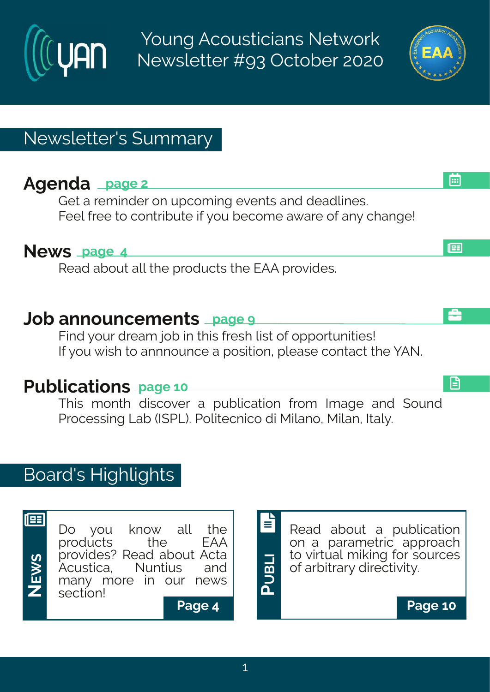Young Acousticians Network Newsletter #93 October 2020

# Newsletter's Summary

# **Agenda page 2**

**UAN** 

Get a reminder on upcoming events and deadlines. Feel free to contribute if you become aware of any change!

### **News page 4**

Read about all the products the EAA provides.

## **Job announcements page 9**

Find your dream job in this fresh list of opportunities! If you wish to annnounce a position, please contact the YAN.

# **Publications page 10**

This month discover a publication from Image and Sound Processing Lab (ISPL). Politecnico di Milano, Milan, Italy.

# Board's Highlights



**PUBLI** E

Read about a publication on a parametric approach to virtual miking for sources of arbitrary directivity.





å

æ

画

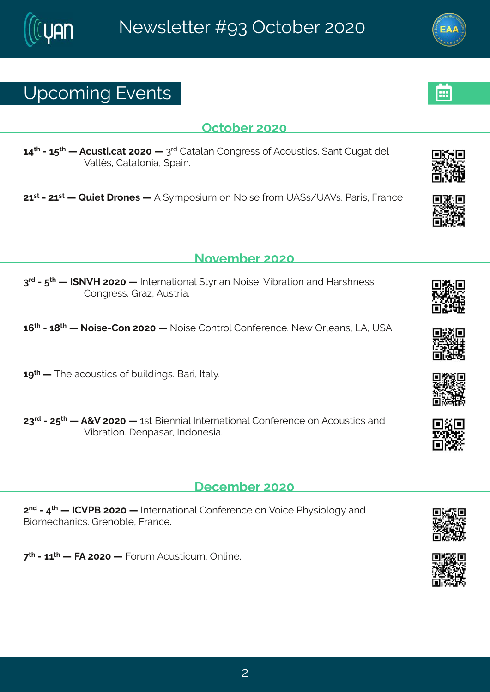## Yt gsq mk#Jzi r xw

#### Taxsfiv#575

69<sup>x</sup> #246: <sup>x</sup> # #Forw monex=7575# #8<sup>vh</sup>#Hexener #Hsrkviww#si#Forsy www.on w3K erx#Hykex=hip# Zend w# Hexens rme# tem 3#

76WH2476WH; #Vymx# vsriw# #F# }qtswmyq#sr#Ssmwi#vsq#YF(w4YFZw&Nevmw/#Kvergi

#### Sszigfiw#575

8<sup>th</sup>#2# <sup>x|</sup> # #NISZM#7575# #NIxivrexmsrep# x} wmer#Ssmwi #Zmfvexmsr#erh#Mewlriww# HsrkviwstLve~#Fywwna3

 $6:$   $*$  #246= $*$  # #Ssmvi 2Hsr#7575# #Ssmvi#Hsrxvsp#Hsriivirgi3#Si{#Tyojerw#QF1#Y(F3

 $6 >$ <sup> $\frac{1}{4}$ </sup> #  $\frac{1}{1}$  # eqs v w rog w  $\frac{1}{5}$  i # v rot n m k w  $\frac{1}{5}$  c w  $\frac{1}{10}$  c  $\frac{1}{2}$  3

78<sup>th</sup>#247: <sup>xi</sup> # #F+Z#7575# #Sw #Gmirrmen;#Ntxi wrexmsrep#Hsrji virgi #sr#Fgsyw mogw#erh# **7 m/vexmsr . 建 i rtewev#hdhsriwme3** 

#### $\frac{1}{2}$ i gi g f i  $\frac{\sqrt{7}}{25}$

7<sup>rh</sup>#2#9<sup>x|</sup> # #NHZUG#7575# #Nixi vrexmsrep#Hsrji vi rgi #sr#Zsmgi #Ul} wmspsk}#erh# Grosq i gler rom wood k i r s f pi 14 K ver gi 3#

<<sup>x|</sup>#2466<sup>x|</sup># #KF#7575# #Kswq#Fgywxngyq3#Trpmi3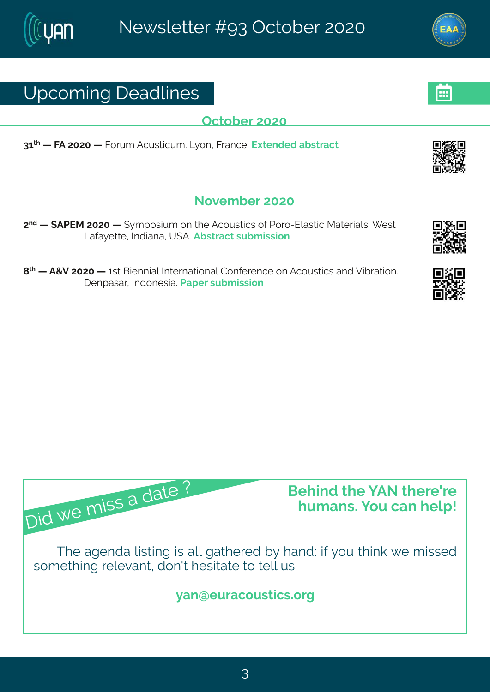# Yt gsq mk# i ehpni w

Taxsfiv#575

86<sup>x</sup> # #KF#7575# #Kswyq #Fgywwngyq 3KQ sr #Kwergi 3# | xi rhi h#ef www.egx

#### Sszigfiv#575

7<sup>rh</sup># #FUJR#7575# # } q t swm,q #sr# li#Fqsywmogw#sj#Jsvs2Jpewmog#Rexivmep.w \$# i w# Ceje} i x i "#N hmere"#Y (F3Ff wwegx#w f q mwnsn

 $\mathbb{R}^d$  # #F+Z#7575# #Bw #Gmirrmep#Ntxivrexmsrep#Hsrjivirgi#sr#Fgsywxngw #erh #Zmívexmsr3# I i rt ewev# whsriweal9det i v#w f q mwnsr#

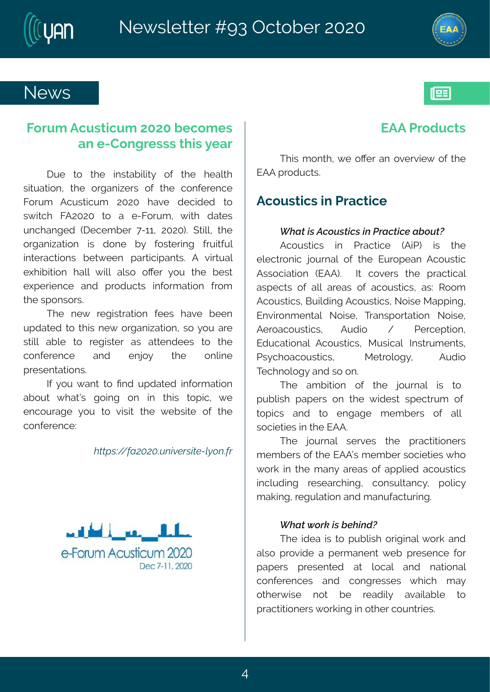## $Si$  {  $W$

### Kswg  $#$ gywngyg  $#$ 575# i gsg i w# er#2Hsrkviww#dm#iev

 $lyi # x$ s#x $j # m$ wef  $mnx$ }#sj#x $i # li e$ px $#$ www.exnsrt#xli#swkermaiw#sj#xli#qsrjivirgi# Kswq #Fgywngyq #7575#l ezi #higrhih # $\frac{1}{8}$ # w  $\frac{1}{2}$  mual #KF7575# xs#e#i2Kswq  $\frac{1}{2}$  mol#hexiv# yrglerkih#-ligiqfiv#<2661#7575.3#(xmpp#xli# s where means if  $#$  morth has riff  $H$  is word wink # j w may p# m xi veg xnsr w#fix{iir#tevxngmterxw3#F#zmxyep# ill min mansnr#lepp#{mpp#ep.ws#sOiv#}sy#xli#fiwx# ilti vmir gi#erh#tvshygxw#mnjsvqexmsr#jvsq# **Xi # xt** sr ws w B

Xli#ri{#viknowexmsr#jiiw#lezi#fiir# ythexih#s# whti{#swkermexmsr#tws#;sy#evi# ww.moote foot#xs#vik.mwiv#ew#exxirhiiw#xs#xli# qsriivirgi#erh#irns}#xli#  $sr$  om  $#$ t vi wir xexmsr w<sup>8</sup>

NHA SY# er x#xs#Prh#ythexih#misvq exmsr#  $\frac{1}{2}$  ef syx#{ lexoo\*# ksmnk#sr#mn#xlnw#xstnoq1#{ i# irgsyveki#}sy#xs#zmmo#xli#{ifwnoi#sj#xli# gsrji virgi?

 $#$ 

VE · Ö · ĐÕ&Õ&CLUX JOS<sup>2</sup>· IÊSZAÚ, XC<sup>2</sup>

### **JFF#J**vshvaxw

XInwitq srxl 1#, i#sOi wher#szivzmi{#sj#xli# JFF# wshygxw8

#### Fgs y wagw#n#Jvegxmgi

Fgsywngw# m# Uvegxngi#-Frol.# mw# xli# ipig x srmg#nsy vrep#sj#xli#Jy vstier#Fgsy wwng# Fww.sqrexxnsr#-JFF. \$#N#gsziw#xli#tvegxmgep# ewtigxw#si#epo#eview#si#egsywwond#ew?#Wssq# Fasywordw#Gymdnmk#Fasywordw#Ssmwi#Rettmk# Jrznwsrgirxep#Ssmwi#Xverwtsvxexmsr#Ssmwi# Fivseasywomut Fyhrs#  $4#$ Ui vai t xmsr # Jhygexnsrep#Fgsywomgw#Rywongep#Ntwwyqirxw# Uw gl segsywngw#  $R$ i xwspsk $\}$ #  $Fv$ hrsa# Xiglrspsk }#erh#ws#sr3

XI i ##eq f parsir ##sj##xl i ##rsy vr ep##row##xs## tyf pmow'# tet iww#sr##vli##; mhiw##wtigxwyg##sj## xst rowt#ter h##xs##irkeki##qiqfiw##sj##epo## wsgmixmw#m#di#JFF3

XI i #  $rsym$  ep# wivzi w# x i # t vegx mass r i w # qiqfi w#si#xli#JFFo\*#qiqfiv#wsqmixmiw#, Is# { svo#m#xli#q er }#eview#sj#et t pmh#egsywwmgw#  $mapy$  hm k # vi wi evg lm k # gs r wy per g } # t spmg } # q eomk this kypex star the that eryjeg symmk3

XI i #thi e#tw#s# yf pw #swhamep# svo#er h# epws#tvszmhi#e#tivqerirx#fif#tviwirgi#isv# tet i w# t vi wir xi h# ex# psgep# er h# rexmsrep# gsrjivirgiw#erh#gsrkviwwiw#{lmgl#qe}# s xi i v{ movi#  $r$  s x# fi # viehmo) # ezempef pi #  $x$   $\le$  # t vegxmansr i wu# svomrk#m#sxl i v#gsyrxwinw8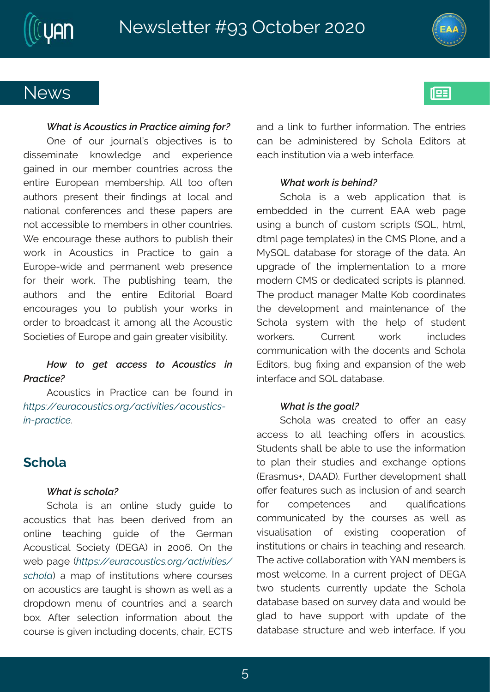### Si { w

Tri#sj#syv#nsyvrepôM#sfnigxnziw#nW#xs# hnow iq mexi# ors{  $\pi$  hki# erh# i|tivmingi# kemih#m#syv#qiqfiv#gsyrxwinw#egvsww#xli# ir xmoi#Jyvstier#qiqfiww\mt3#Fpp#xss#sjxir# ey x sw#t viwir x#xlimx#Prhmkw#ex#psgep#erh# rexmsrep#gsrjivirgiw#erh#xliwi#tetiw#evi# rsx#eqqiwwnfnoj#ss#qiqfiw#nn#sxliv#qsyrxwniw@# [i#irgsyveki#xliwi#eyxlsw#xs#tyfpwnl#xlim4# { svo# m#Fgsywomgw# m#Uvegxmgi # xs# kem# e# Jyvsti2{ mhi#erh#tivq erirx#{ if#tviwirgi# jsv#xlimo#{svo3#Xli#tyfpmwlmnk#xieq1#xli# ey x sw# erh# x i # i r xmi # Jhn swep# Gsevh# irgsyvekiw#}sy#xs#tyfpwwl#}syv#{svow#mn# s vhi v#xs#f vsehgeww#mx#eq srk#epo#xli#Fgsywxmg# (sgmxmwtsj#Jyvsti#erh#kem#kviexiv#zmwnnpmok}3

Fgsywogw#m#Uvegxogi#ger#fi#jsyrh#mÈ **VË · ë - \$Ù Đî ,, Ù Ê · ¢ 2L - Đî Ê ò lÊ \$· - Đî ,, Ù Ê · Z Ix2 2Di 由 \$3** 

### $(q)$  spe

 $(gI$  spe# mo# er # srpmi # way h } # k y mhi # xs# egsywngw#xlex#lew#fiir#hiwnzih#jwsq#er# srpmi# xieglmk# kymhi# sj# xli# Livqer# Fgsywmogep#(sgmx)#-IJLF.#m#755; 3#Tr#xli#  $\{$  if # eki#V $\overline{\mathbb{H}}$  · ë  $\overline{\mathbb{S}}$ UPDî, Ù  $\overline{\mathbb{H}}$  ·  $\alpha$  2L—Dî  $\overline{\mathbb{H}}$ Oll $\overline{\mathbb{S}}$ S · — . î W, HD. #e#q et #sj#mww.xy xnsrw#{ livi#gsywiw# sr#egsywordw#evi#seyklx#mo#wls{r#ew#ipo#ew#e# hvst hs{ r#q i r y#sj#gsyr xwinw#er h#e#wi evgl # f s|  $F$ [xi  $\forall$ # wi pigxnsr # mjsvq exnsr # ef sy x # xl i # gsywi#w#kmzir#mgpyhmk#hsgirxw#glem#UHX(# er h#e#pmo#xs#jywl iw#mjsvq exnsr 3#XI i#irxvmw# ger#fi#ehgmnwwivih#f}#(glspe#Jhnxsw#ex# iegl # mww.xy xnsr#zne#e# if # m xi yjegi 3

(gl spe# mo# e# { if # et tpopex sn # x ex# mo# iq fihhih#mm#xli#gywirx#JFF#{if#teki# ywnk#e#f yr gl#sj#gywsg#wgwtnxw#-(VQ#1 xg p# h xq p# ek i#xiq t pexiw#m#xl i#HR (#Upsri1#erh#e# R } (VQ#hexefewi#jsv#wsveki#sj#xli#hexe3#Fr# ytkvehi#sj#xli#motpiqirxexmsr#xs#e#qsvi# q shiw:#HR (#sv#hihngexih#w.gvm/xw#nw#tperrih3# XI i #t vshygx#q er ekiv#R epi#Psf#gssvhmexiw# xli#hizipstqirx#erh#qemnxirergi#sj#xli#  $(gI$  spe# w} wxiq # { nxi# xii# lipt # sj# wxy hir x# { svoi wo# Hywir x#  $\{$  s vo# mgpyhiw# gsq q yrmgexmsr#(mxi#xli#hsgirxw#erh#(glspe# Jhn sw#fyk#P|mk#erh#i|terwnsr#sj#xli#{if# mxi yjegi #er h# VQ#hexef ewi 3

(gl spe#{ ew# gvi exi h#  $\times$ # sO w# er # i ew}# eggi ww#xs#epp#xieglmnk#sOi ww#mn#egsywxngw3# (xyhirxw#wlepp#fi#efpi#xs#ywi#xli#mnjsvqexmsr# xs#tper#xlimo#wayhmiw#erh#i|glerki#stxmsrw# -Juewq yw0141 FFI.34Kyuxliv#hizipstq irx#wlepp# sO whi exy viwthy gl #ew#mgpy wrst #si#er h#wi evgl # gsq tixingiw#  $erh#$ uyepRgexmsrw# isv# gsg g yrmoexih#f}#xli#gsywiw#ew#{ipp#ew# zmwyepmexmsr# sj# i|mwm.k# gsstivexmsr# sj# mwaxy xnsr wts vtgl enwttmtki egl mk tter htti wievgl 3# XI i #egxoni#gspoefsvexosr# mol# FS#q iq fi w#mo# q swort[iposq i3#Nt#e#qywirx#twsnigx#sj#lJLF# x{ s#wayhir xw#gywir xq}#ythexi#xli#(glspe# hexef ewi#fewih#sr#wyvzi}#hexe#erh#{syph#fi# kpeh#xs#lezi#wyttsw#{mxl#ythexi#sj#xli# hexef ew #wwygxy vi#er h# if#mxivjegi3#N#}sy#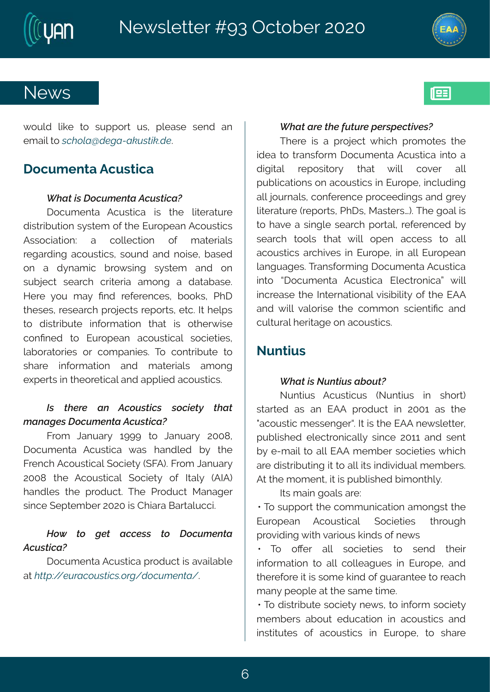## Si { w

{ syph#pooi#xs#wyttsw#yw1#tpiewi#wirh#er# ig ennaks#î W.KĐã ù\$LĐZĐhÙ Êthoù\$3

#### I sgyq i r xe# gy wxnge

Is gyg i r xe# Fgywxmoe# mw# xl i # poxivexy vi# hnww.nfry.xnsr#w}wxiq#sj#vli#Jyvstier#Fgsywxngw# Fww.sqreexnsr?# e# qspoigxnsr# si# q exivreepx# vike whink #egsy womon whosy rh#erh#rsmovi#fewih#  $sr # e# h} req r$  et f vs{ wnnk # w} wxiq # er h # sr # wyf nigx#wievgl#gwmivme#eqsrk#e#hexefewi3# Mi vi #} sy#q e} #Pr h#vi ji vi r gi w#f ssow#UII# whiw whist we vall the van growth it sww.thixg34Nutipt wtt  $x$  is the move of the missing extract that  $x$  and  $x$  is  $y$  and  $x$  $qsr$  Prih#xs#Jyvstier#eqsywmorep#wsqmixmw# pef svexsvmiw#sv#gsq termiw?#Xs#gsrxwmlyxi#xs# wlevi# mjsvq exnsr# erh#q exivmen pw# eq srk# i | ti ww.#m# lisvixngep#erh#ettpmh#egsywxngw8

Kisq # Oer yev  $# 6$  > >  $# \times 4$  Oer yev  $# 755 = 44$ Isgyq ir xe#Fgywxmge#{ew#lerhpih#f}#xli# Kvi r gl #Fgsywmgep# sgmix # (KF. 3K vsg #Der yev }#  $755 = # \times 1 # Fgsywmger# (sgin x) # s# Nep# - FNF. #$ I er hpi w#xl i #t vshygx #XI i #Uvshygx#R er eki w# wrngi# it xiq fiv#7575#w#Hl reve#Gewepyggr&

 $\mathbf{I}$ 

I sgyq i r xe#Fgywxmge# vshygx#ww#ezempef p #  $ex$ # $\sqrt{\hat{H}}$  $\ddot{\theta}$   $\ddot{\theta}$   $\ddot{\theta}$   $\ddot{\theta}$   $\ddot{\theta}$   $\ddot{\theta}$   $\ddot{\theta}$   $\ddot{\theta}$   $\ddot{\theta}$   $\ddot{\theta}$   $\ddot{\theta}$   $\ddot{\theta}$   $\ddot{\theta}$   $\ddot{\theta}$   $\ddot{\theta}$   $\ddot{\theta}$   $\ddot{\theta}$   $\ddot{\theta}$   $\ddot{\theta}$   $\ddot{\theta}$   $\ddot{\theta}$   $\ddot{\theta}$   $\ddot{\theta}$ 

XI i vi#mw#e#t vsnigx#{I mol#t vsg sxi w#xl i # thi etts twer wis vq #1 sgyq i r xettFgy wange#mxs tte# hmknowep# vitswnosv}# xlex#{mpo# gsziv# epp# tyf projexnsir w#sr#egsywordow#m#Jyvsti#frngpyhmnk# epo#syvrepw#gsrjivirgi#vsgiihmkw#erh#kvi}# ponivexy vi# vit svxw#UII w#Rewai woz. 33XI i# sep# w# xs# ezi#e#wmkpi#wievgl#tswep#wijivirgih#f}# wievgl#xsspw#xlex#{mon#stir#eggiww#xs#epo# egsywngw#evgl mziw#m#Jyvsti#m#ep#Jyvstier# perkyekiw33Xverwisvqmnk#sgyqirxe#Fgywxnge# m xs# d sgyq ir xe# Fgywxnge# Jpig x srnge c# { mpp# m gvi ewi# ki # Nixi vr exnsr ep#zmwnfnpook}#sj# ki # JFF# er h#  $pp#zeps$  www.  $#x$  i  $#gsq$  q sr  $#wgmr$  xmPg#er h# gypyvep# i vnnek i #sr#egsywnogw8

#### Syrxmw

Syr xnow# Fgywxnogyw#-Syr xnow# nn# wlsw.# wew h#ew#er#JFF#t vshyqx#m#7556#ew#xli# % gsywnog#q iwwirk ivo\$AN#w#xli#JFF#ti{wpixxiv^# t yf pmvl i h#i pi gxvsrngepp}#wnn.gi#7566#erh#wirx# f } #1 2 q engles #epo#JFF#q i q f i v#ws gmix miv#[ I rg] # evi#hmww.mly.xmlk#na#s#ep#naw#mlhmzmlnyep#qiqfiw@# Fx#xli#qsqirx1#x#nw#tyfpmwlih#fmqsrxlp}3

Now the emak seporte vi?

#AS#wyttsw#xli#gsqqyrmgexmsr#eqsrkw#xli# Jyvstier# Fasywmorep# (samixmiw# x vsykl# tvszmlnnk# mol#zevnsyw#omnhw#sj#i{w

 $#$  Xs# sO w# epo# wsgmixmiw# xs# wirh# xlim4# misva exmsr#xs#ep#qspoiekyiw#m#Jyvsti#terh# xlivijsvi#xa#rw#wsqi#omnh#sj#kyeverxii#xs#wiegl# q er }# i st pi#ex#xli#weq i#wmoni3

 $\#$ Ks#n mww.mfy xi#wsgmix}#ri{ w#xs#mjsvq #wsgmix}# q i q f i w#ef syx#i hygexmsr#m#egsywmgw#erh#  $m$ waxy xi w#sj#egsywxngw#mn#Jy vsti 1#xs#wl evi#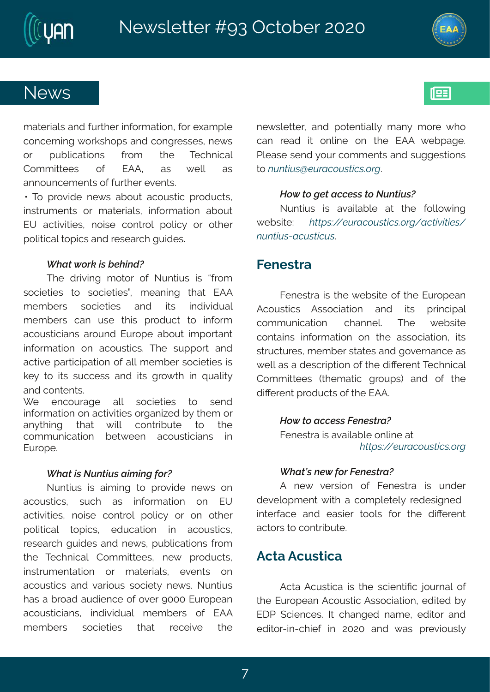## Si { w

q exivrepw ter http://www.ivtm.jsvqexmsr1ttpsv#leqtpi# asraivrnnk#syowlstw#erh#asrkviwwiw#ti{w# sv# tyfpmoexmsrw# jvsq #  $\forall$  i#  $X$  glrmgep# ew# {imp# Hsqqmxiiw# si# JFF#  $ew#$ errsyrgig ir xw#sj#yvxliw#zir xw8 :#Xs#twszmhi#ri{ w#efsyx#egsywxmg#twshygxw1# mww.yqirxw#sv#qexivmepw#mjsvqexmsr#efsyx# JY#eqxnzmxniw#rsmwi#qsrxvsp#tspmg}#sw#sxliw#

t sponogep#st rogw#er h#wi wievgl#kymhiw8

XI i #hvmznnk#q sxsv#sj#Syrxmyw#mw#ğvsq# wsgmixmut is # wsgmixmuot # q i er mk # x ex # JFF # gigfiwt# wsgmixmiw# erh# maw# mnhmzmhyep#  $q$  i q f i wu# ger#y wi# xl mw# t vshy gx# xs# m js vq # egsywngnerw #ewsyrh#Jywsti#efsyx#nottswerx# mjsvq exmsr#sr#egsywxngw3#XIi#wyttsw#erh# egxoni#t evangmexosin#si#epo#q i q f i v#wsgmixmutthow# oi }#xs#pay#wyggiww#erh#pay#kvs{ x #mn#uyepox}# erh#gsrxirxw8

 $\lceil$  i# irgsyveki# epo# wsgmixmiw# xs# wirh#  $m$  js vq extent #sr#eqxom. The view of the view of the view  $m$  is  $m$  in q #s v# er}xlmk# xlex# {mpo# gsrxvmfyxi# xs# xli#  $gsq q yr$  repextent # fix(iir#egsyworder w# mn# Jyvsti3

Syrxmw#mw#emomk#xs#tvszmhi#ri{w#sr#  $egsy$ wany # wygl # ew # misyq exnsir # sr # JY # egxnzmanw#rsmwi#gsrxvsp#tspmg}#sv#sr#sxliv# tspragep# xstrgw# ihygexmsr# m# egsywxgw# vi wie val #kymhiw#erh#ri{w#tyfpmaexmsrw#jwsq# xli#XigIrmgep#Hsqqnxxiiw#tri{#tvshygxw#  $m$ ww.vqirxexnsr# sv#qexivmen.w#izirxw#sr# egsywngwtter httzewsnywttwsgmix} #ri { w \$x Syr xnywtt lew #et# vseh #eyhminr gi#si#sziv#>555#Jyvstier# egsywogner w# mhmzmhyep#qiqfiw#sj#JFF# qiqfiwu# wsgmixmiw# xlex# viginzi# xli# ri{ wpixxiv'#erh#tsxirxmepp}#q er}#q svi#{ls# ger#vieh#mo#srpmi#sr#xli#JFF#{ifteki3# Up ewi#wirh#jsyv#gsqqirxw#erh#wykkiwwnsrw#  $x$ # $U$ x $\hat{H}$  $U$   $\hat{a}$   $S$  $U$  $D$  $\hat{b}$   $\hat{c}$   $U$   $\hat{f}$  $\hat{b}$   $\hat{c}$   $\hat{c}$   $2L$  3

Syr xnyw# mw#ezempef pi#ex#xli#jspps{mk#  $\{$  if waw  $\overline{\mathcal{H}}$   $\mathbb{W}\widehat{\mathbb{H}}$   $\cdot$   $\overset{\sim}{\circ}$   $\mathbb{S}$   $\overset{\sim}{\mathbb{W}}$   $\mathbb{D}$   $\overset{\sim}{\mathbb{H}}$   $\cdot$   $\overset{\sim}{\mathbb{C}}$   $\mathbb{R}$   $\cdot$   $\overset{\sim}{\mathbb{C}}$   $\mathbb{H}$   $\overset{\sim}{\mathbb{W}}$   $\overset{\sim}{\mathbb{H}}$   $\overset{\sim}{\mathbb{W}}$   $\overset{\sim}{\mathbb{H$ x Ù xÊÙ ZĐî Ù Ê Î Ù 3

#### Kiriwwe

Kiriwwe#mw#xli#{ifwmxi#sj#xli#Jyvstier# Fgsywngw# Fwwsgreewsnr# er h# naw# twngmtep# gsqqyrmgexmsr#glerrip\$#Xli#{ifwnxi# gsr xennw#nnjsvg exnsr#sr#xl i#ewwsgnexnsr#mxw# www.qxyviw.htgigfiv.html w.html w.html w.html w.html w.html w.html w.html w.html w.html w.html w.html w.html w.html w.html w.html w.html w.html w.html w.html w.html w.html w.html w.html w.html w.html w.html w.html w.html w { i pottew teth i wo wtn xnsr#s j# klimbol vir x#Xi glrmoep# Hsqqmxiiw#-xliqexmg#kvsytw#erh#sj#xli# hno0 vir x# vshygxw#sj#vli#JFF3

> Kiriwwe#w#ezempefpi#srpmi#ex#  $V\oplus$   $\ddot{\theta}$   $\ddot{\theta}$   $\ddot{\theta}$   $\ddot{\theta}$   $\ddot{\theta}$   $\ddot{\theta}$   $\ddot{\theta}$   $\ddot{\theta}$   $\ddot{\theta}$   $\ddot{\theta}$   $\ddot{\theta}$   $\ddot{\theta}$   $\ddot{\theta}$   $\ddot{\theta}$   $\ddot{\theta}$   $\ddot{\theta}$   $\ddot{\theta}$   $\ddot{\theta}$   $\ddot{\theta}$   $\ddot{\theta}$   $\ddot{\theta}$   $\ddot{\theta}$   $\ddot{\theta}$   $\ddot{\theta}$

 $F#$ ri {  $#$ zi wwsn  $#$  sj $#$  Ki riwwe# mw# yr hiw# hizipstqirx#{mxl#e#qsqtpixip}#vihiwnknrih## muxivjegi#erh#iewmw#xsspw#jsw#xli#hmOivirx# eaxs wats #as r xymbrix 3

#### Fgxe# gy wxnge

Fgxe#Fgywxnge#mo#di#w.gmin.xmPg#nsyvrep#si# di#Jyvstier#Fgsywmog#Fwwsgmexmsr#lhmah#f}# JI U# (gmir gi w # N # gl er ki h # r eq i # i h n s w # er h # i hnos $\sqrt{2m}2q$  im  $\#m\#7575\#$  er h $\#$ { ew  $\#t$  vi znsy w $\Delta \#$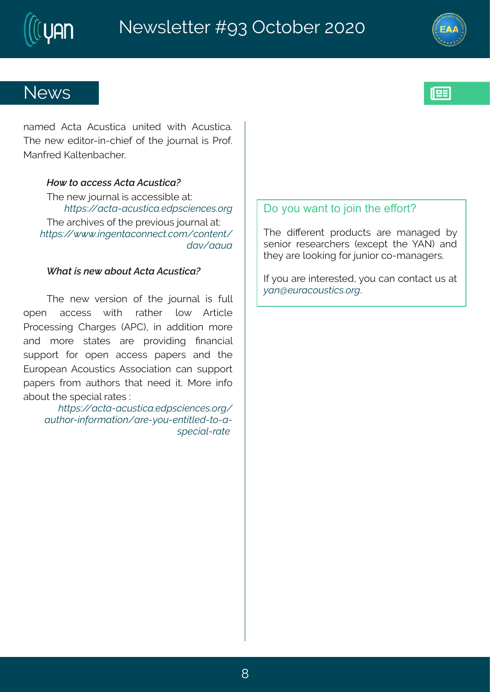

req i h#Fgxe#Fgywxnge#yrmaih#{mai#Fgywxnge3# Xli#ri{#ihmsv2mn2glmij#sj# kli#nsyvrep#mw#Uvsj3# Rerjvih#Pepirfegliv3

XI i # i {  $#$ s y vr ep#w#eggi wwrfnpi  $#$ x $#$ XI i #eval mai w#si# kli# vi zmsy w#ssy vrep#ex?#  $V\ddot{\mathbf{F}}$   $\ddot{\mathbf{e}}$   $\ddot{\mathbf{o}}$   $\dot{\mathbf{o}}$   $\dot{\mathbf{o}}$   $\dot{\mathbf{o}}$   $\dot{\mathbf{g}}$   $\dot{\mathbf{k}}$   $\ddot{\mathbf{r}}$   $\ddot{\mathbf{g}}$   $\ddot{\mathbf{g}}$   $\ddot{\mathbf{r}}$   $\ddot{\mathbf{f}}$   $\ddot{\mathbf{f}}$   $\ddot{\mathbf{f}}$   $\ddot{\mathbf{g}}$   $\ddot{\mathbf{g}}$   $\ddot{\mathbf{k}}$   $\ddot{\mathbf{k}}$   $\ddot$ ù Đò ĐĐÙĐ

XI i #r i { #z i www.snr #s j #xl i # r s y vr ep # rww# j y po# stir# eggiww# { mol# vexliv# ps{# Fvxngpi# Uvsgi wwn k#HI evki w#-FUH.#mm#ehhmmsnr#q svi# er h# q svi# wwexiw# evi# t vszmhnnk# Prergnep# wytt sw#jsw#stir#eggiww#tetiww#erh#xli# Jy vst i er #Fgsy womg w#F wws greaser #ger #wy tt sw# tet i wh#jvsq#eyxlsw#xlex#riih#m&#Rsvi#mnjs# ef syx#d i #wt i grap#vexi w#?#

WEE · Ö DI EDZDÎ Ù ET DOSU · 1 | \$xî \$ · a 2L-ĐÙÊN 27x; 2t ĐÊ, x-Đ2\$Zú, ÙZ\$x ÊÊR\$ù ZÊ, ZĐZ · Sî IEKZELÊSE XI i #hmoi vi r x#t vshygxw#evi #q er eki h#f }# wirmsw#viwievgliww#-i|gitx#xli#|FS.#erh# xli}#evi#pssomnk#sv#nyrmsv#gs2qerekiw3

NH<sub>3</sub> sy#evi# mxi vi wxi h1#, sy#ger#gsrxegx#yw#ex#  $U$ Exã \$Ù E $\hat{U}$ , Ù  $\hat{H} \cdot \hat{g}$  <sup>2</sup>L3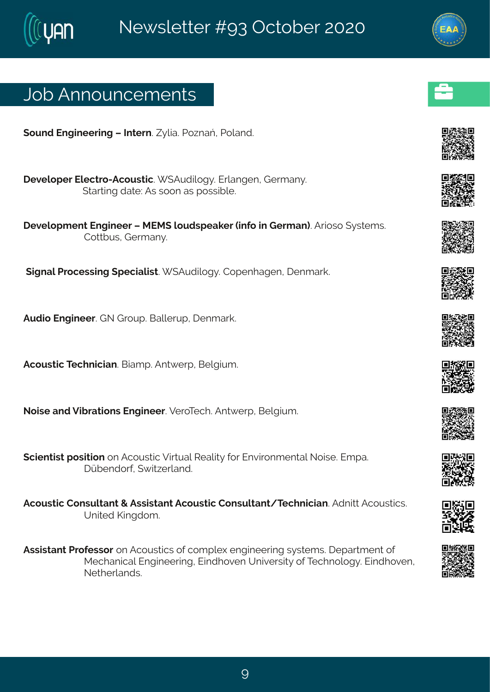# Osf#Frrsyrgiqirxw

```
(svrh#Jrkmiiwnk##Ntxivr3A) bme3#Js~reP#Usperh3
##lizipstiv#Jpigxvs2Fgsywxmg3# (Fyhmpsk}3#Jvperkir1#Livqer}3
            (xevxnnk#hexi?#Fw#wssr#ew#swwnfnj3
##lizipstqirx#Jrkmiiv#l#RJR(#psyhwtieoiv#mjs#m+Livqer.3Fvnsws#,}wviqw3#
            Hsx of yW# ivq er } 3
#
#, nkrep#Uvsgiww.m.k#, tigmepmwx3# (Fyhmpsk}3#Hstirlekir1#lirqevo3
#Fyhns#Jrkmiiv3£ S#L vsyt 36Geppi wyt 1# irqevo3#
##Fasyword#XigIrmaner3#Gmeqt3#Frx(ivt1#Gipkmyq3
#Ssmvi#erh #Zmfvexmsrw#Jrkm iiv 3#ZivsXigI 3#Frx{ ivt 1#Gipkmyq 3#
(gmirxmw.#tswnxmsr#sr#Fgsywxmgn#Zmxyep#Wiepno)#sv#Jrzmwsrqirxep#Ssmwi3#Jqte3#
            lãfirhsvi1#{ma~ivperh3#
#Fgsyworg#Hsrwypxerx#+#Fwwmwxerx#Fgsyworg#Hsrwypxerx4Xiglrngmer3#Fhrmx4Fgsyworgw3#
            Yrmih#Pmkhsq 3
Fww.mw.erx#Uvsjiww.sv.sr#Fgsyw.xogw#sj#gsqtpi|#rkmiiwnk#w}wxiqw3#litew.qirx#sj#
```
Rigler mogetUrkmii wmktUmhlszir#Yrmziwnx)#sj#Xiglrspsk}3Umhlszir# Sixliverhw<sub>8</sub>